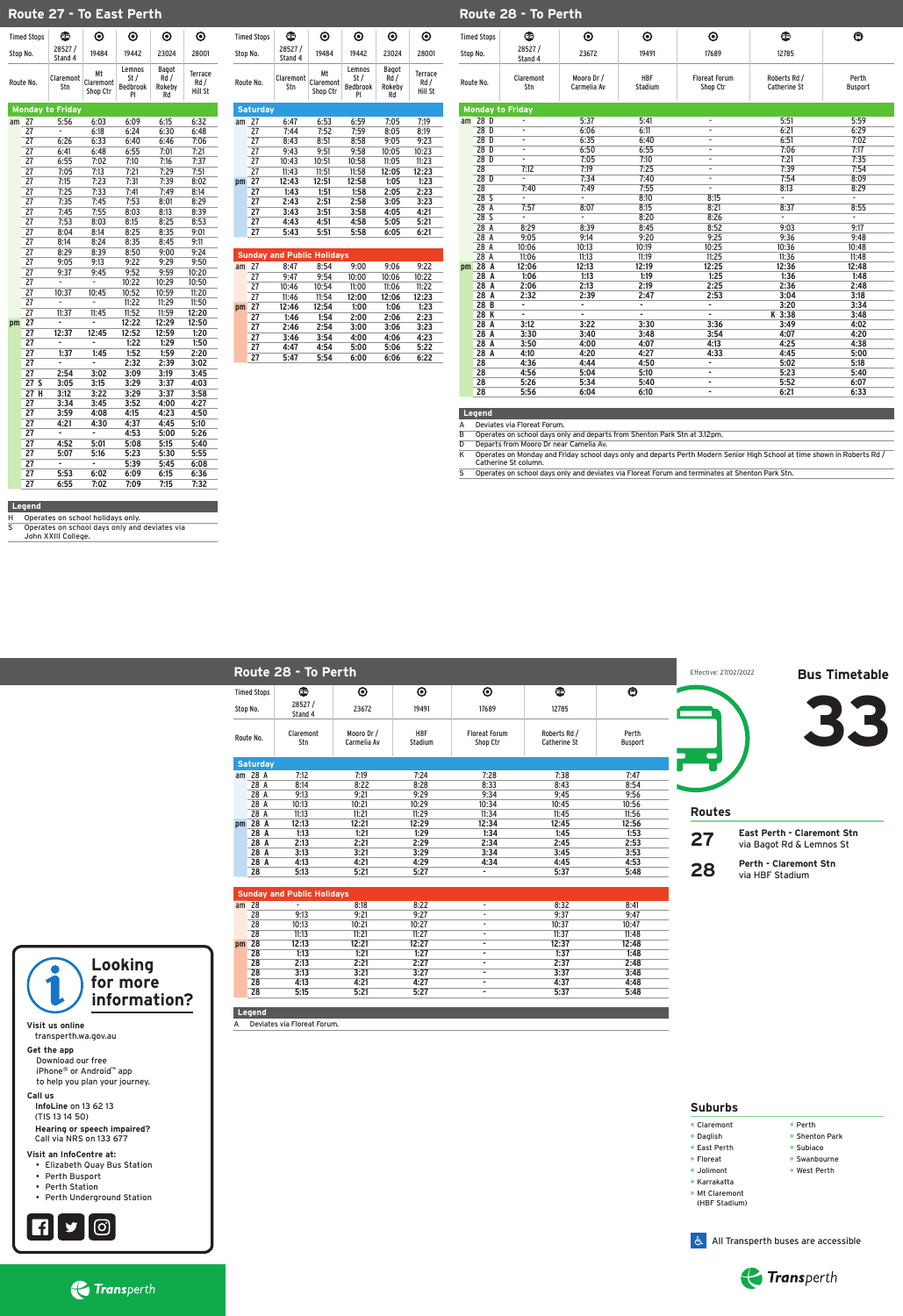|    | <b>Sunday and Public Holidays</b> |       |       |       |    |       |       |  |  |  |  |  |
|----|-----------------------------------|-------|-------|-------|----|-------|-------|--|--|--|--|--|
| am | 28                                | -     | 8:18  | 8:22  | ۰. | 8:32  | 8:41  |  |  |  |  |  |
|    | 28                                | 9:13  | 9:21  | 9:27  | ۰  | 9:37  | 9:47  |  |  |  |  |  |
|    | 28                                | 10:13 | 10:21 | 10:27 | ۰  | 10:37 | 10:47 |  |  |  |  |  |
|    | 28                                | 11:13 | 11:21 | 11:27 | ۰  | 11:37 | 11:48 |  |  |  |  |  |
| pm | 28                                | 12:13 | 12:21 | 12:27 |    | 12:37 | 12:48 |  |  |  |  |  |
|    | 28                                | 1:13  | 1:21  | 1:27  | ۰  | 1:37  | 1:48  |  |  |  |  |  |
|    | 28                                | 2:13  | 2:21  | 2:27  | ۰  | 2:37  | 2:48  |  |  |  |  |  |
|    | 28                                | 3:13  | 3:21  | 3:27  | ۰  | 3:37  | 3:48  |  |  |  |  |  |
|    | 28                                | 4:13  | 4:21  | 4:27  | ۰  | 4:37  | 4:48  |  |  |  |  |  |
|    | 28                                | 5:15  | 5:21  | 5:27  | ۰  | 5:37  | 5:48  |  |  |  |  |  |

| າດ<br>LV M<br>n      |    | - - -<br>---          | . |      | - --<br>,     |
|----------------------|----|-----------------------|---|------|---------------|
| $\mathbf{a}$<br>LU M |    | $\sim$ $\sim$<br>т•ь⊿ |   | ---  | $-2$          |
| 20<br>ΔÜ             | -- | - --<br>---           |   | - -- | $\sim$ $\sim$ |
|                      |    |                       |   |      |               |

- • Claremont • Daglish • Perth • Shenton Park
- • East Perth
- • Subiaco • Swanbourne

### **Legend**

A Deviates via Floreat Forum. 

**28**

### **Perth - Claremont Stn** via HBF Stadium

• Floreat

- • Jolimont
- • Karrakatta

• Mt Claremont (HBF Stadium) • West Perth

### **Suburbs**

#### **Visit us online**

 transperth.wa.gov.au

#### **Get the app**

 Download our free iPhone® or Android™ app to help you plan your journey.

#### **Call us**

**InfoLine** on 13 62 13 (TIS 13 14 50)

#### **Hearing or speech impaired?** Call via NRS on 133 677

#### **Visit an InfoCentre at:**

- • Elizabeth Quay Bus Station
- • Perth Busport
- Perth Station
- • Perth Underground Station











Operates on school days only and deviates via John XXIII College. 

|          | <b>Timed Stops</b> | ®                       | $\boldsymbol{\odot}$        | $\boldsymbol{\odot}$                    | $\boldsymbol{\odot}$                 | $\boldsymbol{\odot}$      |
|----------|--------------------|-------------------------|-----------------------------|-----------------------------------------|--------------------------------------|---------------------------|
| Stop No. |                    | 28527/<br>Stand 4       | 19484                       | 19442                                   | 23024                                | 28001                     |
|          | Route No.          | Claremont<br>Stn        | Mt<br>Claremont<br>Shop Ctr | Lemnos<br>St /<br><b>Bedbrook</b><br>PI | <b>Bagot</b><br>Rd /<br>Rokeby<br>Rd | Terrace<br>Rd/<br>Hill St |
|          |                    | <b>Monday to Friday</b> |                             |                                         |                                      |                           |
| am       | 27                 | 5:56                    | 6:03                        | 6:09                                    | 6:15                                 | 6:32                      |
|          | 27                 | ۰                       | 6:18                        | 6:24                                    | 6:30                                 | 6:48                      |
|          | 27                 | 6:26                    | 6:33                        | 6:40                                    | 6:46                                 | 7:06                      |
|          | 27                 | 6:41                    | 6:48                        | 6:55                                    | 7:01                                 | 7:21                      |
|          | $\overline{27}$    | 6:55                    | 7:02                        | 7:10                                    | 7:16                                 | 7:37                      |
|          | 27                 | 7:05                    | 7:13                        | 7:21                                    | 7:29                                 | 7:51                      |
|          | 27                 | 7:15                    | 7:23                        | 7:31                                    | 7:39                                 | 8:02                      |
|          | 27                 | 7:25                    | 7:33                        | 7:41                                    | 7:49                                 | 8:14                      |
|          | 27                 | 7:35                    | 7:45                        | 7:53                                    | 8:01                                 | 8:29                      |
|          | 27                 | 7:45                    | 7:55                        | 8:03                                    | 8:13                                 | 8:39                      |
|          | 27                 | 7:53                    | 8:03                        | 8:15                                    | 8:25                                 | 8:53                      |
|          | 27                 | 8:04                    | 8:14                        | 8:25                                    | 8:35                                 | 9:01                      |
|          | 27                 | 8:14                    | 8:24                        | 8:35                                    | 8:45                                 | 9:11                      |
|          | $\overline{27}$    | 8:29                    | 8:39                        | 8:50                                    | 9:00                                 | 9:24                      |
|          | 27                 | 9:05                    | 9:13                        | 9:22                                    | 9:29                                 | 9:50                      |
|          | 27                 | 9:37                    | 9:45                        | 9:52                                    | 9:59                                 | 10:20                     |
|          | 27                 |                         |                             | 10:22                                   | 10:29                                | 10:50                     |
|          | $\overline{27}$    | 10:37                   | 10:45                       | 10:52                                   | 10:59                                | 11:20                     |
|          | 27                 |                         |                             | 11:22                                   | 11:29                                | 11:50                     |
|          | 27                 | 11:37                   | 11:45                       | 11:52                                   | 11:59                                | 12:20                     |
| pm       | 27                 |                         |                             | 12:22                                   | 12:29                                | 12:50                     |
|          | 27                 | 12:37                   | 12:45                       | 12:52                                   | 12:59                                | 1:20                      |
|          | 27                 |                         |                             | 1:22                                    | 1:29                                 | 1:50                      |
|          | 27                 | 1:37                    | 1:45                        | 1:52                                    | 1:59                                 | 2:20                      |
|          | 27                 |                         |                             | 2:32                                    | 2:39                                 | 3:02                      |
|          | $\overline{27}$    | 2:54                    | 3:02                        | 3:09                                    | 3:19                                 | 3:45                      |
|          | 27<br>S            | 3:05                    | 3:15                        | 3:29                                    | 3:37                                 | 4:03                      |
|          | 27<br>н            | 3:12                    | 3:22                        | 3:29                                    | 3:37                                 | 3:58                      |
|          | $\overline{27}$    | 3:34                    | 3:45                        | 3:52                                    | 4:00                                 | 4:27                      |
|          | 27                 | 3:59                    | 4:08                        | 4:15                                    | 4:23                                 | 4:50                      |
|          | 27                 | 4:21                    | 4:30                        | 4:37                                    | 4:45                                 | 5:10                      |
|          | 27                 | ä,                      |                             | 4:53                                    | 5:00                                 | 5:26                      |
|          | 27                 | 4:52                    | 5:01                        | 5:08                                    | 5:15                                 | 5:40                      |
|          | $\overline{27}$    | 5:07                    | 5:16                        | 5:23                                    | 5:30                                 | 5:55                      |
|          | 27                 | ۰                       | ÷,                          | 5:39                                    | 5:45                                 | 6:08                      |
|          | 27                 | 5:53                    | 6:02                        | 6:09                                    | 6:15                                 | 6:36                      |
|          | 27                 | 6:55                    | 7:02                        | 7:09                                    | 7:15                                 | 7:32                      |

K Operates on Monday and Friday school days only and departs Perth Modern Senior High School at time shown in Roberts Rd / Catherine St column. 

S Operates on school days only and deviates via Floreat Forum and terminates at Shenton Park Stn.

| alll | L I | 0.41  | <b>0.J4</b> | 7.UU  | 7.UU  | フェムム  |  |
|------|-----|-------|-------------|-------|-------|-------|--|
|      | 27  | 9:47  | 9:54        | 10:00 | 10:06 | 10:22 |  |
|      | 27  | 10:46 | 10:54       | 11:00 | 11:06 | 11:22 |  |
|      | 27  | 11:46 | 11:54       | 12:00 | 12:06 | 12:23 |  |
| pm   | 27  | 12:46 | 12:54       | 1:00  | 1:06  | 1:23  |  |
|      | 27  | 1:46  | 1:54        | 2:00  | 2:06  | 2:23  |  |
|      | 27  | 2:46  | 2:54        | 3:00  | 3:06  | 3:23  |  |
|      | 27  | 3:46  | 3:54        | 4:00  | 4:06  | 4:23  |  |
|      | 27  | 4:47  | 4:54        | 5:00  | 5:06  | 5:22  |  |
|      | 27  | 5:47  | 5:54        | 6:00  | 6:06  | 6:22  |  |

|          |                    | Route 28 - To Perth |                           |                       |                                  |                                     |                         | Effective: 27/02/2022 | <b>Bus Timetable</b>              |
|----------|--------------------|---------------------|---------------------------|-----------------------|----------------------------------|-------------------------------------|-------------------------|-----------------------|-----------------------------------|
|          | <b>Timed Stops</b> | $\bigoplus$         | $\boldsymbol{\odot}$      | $\odot$               | $\odot$                          | $\bigoplus$                         | $\boldsymbol{\Theta}$   |                       |                                   |
| Stop No. |                    | 28527/<br>Stand 4   | 23672                     | 19491                 | 17689                            | 12785                               |                         |                       |                                   |
|          | Route No.          | Claremont<br>Stn    | Mooro Dr /<br>Carmelia Av | <b>HBF</b><br>Stadium | <b>Floreat Forum</b><br>Shop Ctr | Roberts Rd /<br><b>Catherine St</b> | Perth<br><b>Busport</b> |                       |                                   |
|          | <b>Saturday</b>    |                     |                           |                       |                                  |                                     |                         |                       |                                   |
|          | am 28 A            | 7:12                | 7:19                      | 7:24                  | 7:28                             | 7:38                                | 7:47                    |                       |                                   |
|          | 28 A               | 8:14                | 8:22                      | 8:28                  | 8:33                             | 8:43                                | 8:54                    |                       |                                   |
|          | 28 A               | 9:13                | 9:21                      | 9:29                  | 9:34                             | 9:45                                | 9:56                    |                       |                                   |
|          | 28 A               | 10:13               | 10:21                     | 10:29                 | 10:34                            | 10:45                               | 10:56                   |                       |                                   |
|          | 28 A               | 11:13               | 11:21                     | 11:29                 | 11:34                            | 11:45                               | 11:56                   | <b>Routes</b>         |                                   |
| pm       | 28 A               | 12:13               | 12:21                     | 12:29                 | 12:34                            | 12:45                               | 12:56                   |                       |                                   |
|          | 28 A               | 1:13                | 1:21                      | 1:29                  | 1:34                             | 1:45                                | 1:53                    |                       | <b>East Perth - Claremont Stn</b> |
|          | 28 A               | 2:13                | 2:21                      | 2:29                  | 2:34                             | 2:45                                | 2:53                    | 27                    | via Bagot Rd & Lemnos St          |
|          |                    |                     |                           |                       |                                  |                                     |                         |                       |                                   |

|    | <b>Timed Stops</b> | œ                       | $\boldsymbol{\odot}$              | $\boldsymbol{\odot}$                    | $\boldsymbol{\odot}$          | $\boldsymbol{\odot}$       |    | <b>Timed Stops</b> | C                       |
|----|--------------------|-------------------------|-----------------------------------|-----------------------------------------|-------------------------------|----------------------------|----|--------------------|-------------------------|
|    | Stop No.           | 28527/<br>Stand 4       | 19484                             | 19442                                   | 23024                         | 28001                      |    | Stop No.           | 2852<br>Stano           |
|    | Route No.          | <b>Claremont</b><br>Stn | Мt<br>Claremont<br>Shop Ctr       | Lemnos<br>St /<br><b>Bedbrook</b><br>PI | Bagot<br>Rd /<br>Rokeby<br>Rd | Terrace<br>Rd /<br>Hill St |    | Route No.          | Claren<br>Str           |
|    | <b>Saturday</b>    |                         |                                   |                                         |                               |                            |    |                    | <b>Monday to Friday</b> |
| am | 27                 | 6:47                    | 6:53                              | 6:59                                    | 7:05                          | 7:19                       | am | 28 D               |                         |
|    | 27                 | 7:44                    | 7:52                              | 7:59                                    | 8:05                          | 8:19                       |    | 28 D               |                         |
|    | 27                 | 8:43                    | 8:51                              | 8:58                                    | 9:05                          | 9:23                       |    | 28 D               |                         |
|    | 27                 | 9:43                    | 9:51                              | 9:58                                    | 10:05                         | 10:23                      |    | 28 D               |                         |
|    | 27                 | 10:43                   | 10:51                             | 10:58                                   | 11:05                         | 11:23                      |    | 28 D               |                         |
|    | 27                 | 11:43                   | 11:51                             | 11:58                                   | 12:05                         | 12:23                      |    | 28                 | 7:12                    |
| pm | 27                 | 12:43                   | 12:51                             | 12:58                                   | 1:05                          | 1:23                       |    | 28 D               |                         |
|    | 27                 | 1:43                    | 1:51                              | 1:58                                    | 2:05                          | 2:23                       |    | 28                 | 7:4                     |
|    | 27                 | 2:43                    | 2:51                              | 2:58                                    | 3:05                          | 3:23                       |    | 28 S               |                         |
|    | 27                 | 3:43                    | 3:51                              | 3:58                                    | 4:05                          | 4:21                       |    | 28<br>A            | 7:5                     |
|    | 27                 | 4:43                    | 4:51                              | 4:58                                    | 5:05                          | 5:21                       |    | 28 S               |                         |
|    | 27                 | 5:43                    | 5:51                              | 5:58                                    | 6:05                          | 6:21                       |    | 28<br>A            | 8:2                     |
|    |                    |                         |                                   |                                         |                               |                            |    | 28<br>A            | 9:0                     |
|    |                    |                         | <b>Sunday and Public Holidays</b> |                                         |                               |                            |    | 28<br>A            | 10:0                    |
|    |                    |                         |                                   |                                         |                               |                            |    | 28<br>A<br>28<br>A | 11:0                    |
| am | 27                 | 8:47                    | 8:54                              | 9:00                                    | 9:06                          | 9:22                       | pm |                    | 12:0                    |

# **Route 27 - To East Perth Route 102, 107 - To Perth**

#### **Legend**

H Operates on school holidays only.<br>S Operates on school days only and

**28 - To Perth**

B Operates on school days only and departs from Shenton Park Stn at 3.12pm.

| <b>Timed Stops</b> |                 | $\bf \bf \odot$         | $\boldsymbol{\odot}$      | $\boldsymbol{\odot}$  | $\boldsymbol{\odot}$             | $\bigoplus$                         | $\boldsymbol{\Theta}$   |
|--------------------|-----------------|-------------------------|---------------------------|-----------------------|----------------------------------|-------------------------------------|-------------------------|
|                    | Stop No.        | 28527/<br>Stand 4       | 23672                     | 19491                 | 17689                            | 12785                               |                         |
|                    | Route No.       | Claremont<br>Stn        | Mooro Dr /<br>Carmelia Av | <b>HBF</b><br>Stadium | <b>Floreat Forum</b><br>Shop Ctr | Roberts Rd /<br><b>Catherine St</b> | Perth<br><b>Busport</b> |
|                    |                 | <b>Monday to Friday</b> |                           |                       |                                  |                                     |                         |
| am                 | 28 D            | ۰                       | 5:37                      | 5:41                  | ٠                                | 5:51                                | 5:59                    |
|                    | 28 <sub>D</sub> | $\frac{1}{2}$           | 6:06                      | 6:11                  |                                  | 6:21                                | 6:29                    |
|                    | 28 D            | $\frac{1}{2}$           | 6:35                      | 6:40                  | $\overline{\phantom{a}}$         | 6:51                                | 7:02                    |
|                    | 28 <sub>D</sub> | $\frac{1}{2}$           | 6:50                      | 6:55                  | ٠                                | 7:06                                | 7:17                    |
|                    | 28 D            | $\blacksquare$          | 7:05                      | 7:10                  | $\overline{\phantom{a}}$         | 7:21                                | 7:35                    |
|                    | 28              | 7:12                    | 7:19                      | 7:25                  | ٠                                | 7:39                                | 7:54                    |
|                    | 28 <sub>D</sub> | ä,                      | 7:34                      | 7:40                  | ٠                                | 7:54                                | 8:09                    |
|                    | 28              | 7:40                    | 7:49                      | 7:55                  | ٠                                | 8:13                                | 8:29                    |
|                    | 28S             | ÷.                      | $\blacksquare$            | 8:10                  | 8:15                             | ÷.                                  |                         |
|                    | 28A             | 7:57                    | 8:07                      | 8:15                  | 8:21                             | 8:37                                | 8:55                    |
|                    | 28S             | ٠                       | ٠                         | 8:20                  | 8:26                             | ٠                                   |                         |
|                    | 28A             | 8:29                    | 8:39                      | 8:45                  | 8:52                             | 9:03                                | 9:17                    |
|                    | 28A             | 9:05                    | 9:14                      | 9:20                  | 9:25                             | 9:36                                | 9:48                    |
|                    | 28 A            | 10:06                   | 10:13                     | 10:19                 | 10:25                            | 10:36                               | 10:48                   |
|                    | 28A             | 11:06                   | 11:13                     | 11:19                 | 11:25                            | 11:36                               | 11:48                   |
| pm                 | 28 A            | 12:06                   | 12:13                     | 12:19                 | 12:25                            | 12:36                               | 12:48                   |
|                    | 28 A            | 1:06                    | 1:13                      | 1:19                  | 1:25                             | 1:36                                | 1:48                    |
|                    | 28A             | 2:06                    | 2:13                      | 2:19                  | 2:25                             | 2:36                                | 2:48                    |
|                    | 28 A            | 2:32                    | 2:39                      | 2:47                  | 2:53                             | 3:04                                | 3:18                    |
|                    | 28B             | $\blacksquare$          | ٠                         | ٠                     | ٠                                | 3:20                                | 3:34                    |
|                    | 28 K            | ٠                       | $\frac{1}{2}$             | ٠                     | ٠                                | K 3:38                              | 3:48                    |
|                    | 28 A            | 3:12                    | 3:22                      | 3:30                  | 3:36                             | 3:49                                | 4:02                    |
|                    | 28A             | 3:30                    | 3:40                      | 3:48                  | 3:54                             | 4:07                                | 4:20                    |
|                    | 28 A            | 3:50                    | 4:00                      | 4:07                  | 4:13                             | 4:25                                | 4:38                    |
|                    | 28 A            | 4:10                    | 4:20                      | 4:27                  | 4:33                             | 4:45                                | 5:00                    |
|                    | 28              | 4:36                    | 4:44                      | 4:50                  |                                  | 5:02                                | 5:18                    |
|                    | 28              | 4:56                    | 5:04                      | 5:10                  | ۰                                | 5:23                                | 5:40                    |
|                    | 28              | 5:26                    | 5:34                      | 5:40                  | ٠                                | 5:52                                | 6:07                    |
|                    | 28              | 5:56                    | 6:04                      | 6:10                  |                                  | 6:21                                | 6:33                    |

## **Legend**

A Deviates via Floreat Forum. 

D Departs from Mooro Dr near Camelia Av.